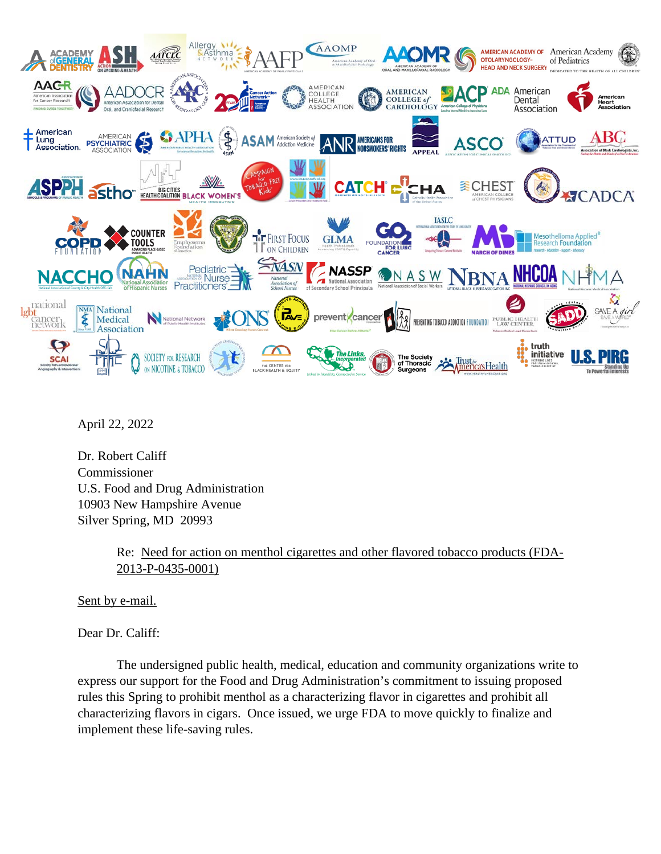

April 22, 2022

Dr. Robert Califf Commissioner U.S. Food and Drug Administration 10903 New Hampshire Avenue Silver Spring, MD 20993

> Re: Need for action on menthol cigarettes and other flavored tobacco products (FDA-2013-P-0435-0001)

Sent by e-mail.

Dear Dr. Califf:

The undersigned public health, medical, education and community organizations write to express our support for the Food and Drug Administration's commitment to issuing proposed rules this Spring to prohibit menthol as a characterizing flavor in cigarettes and prohibit all characterizing flavors in cigars. Once issued, we urge FDA to move quickly to finalize and implement these life-saving rules.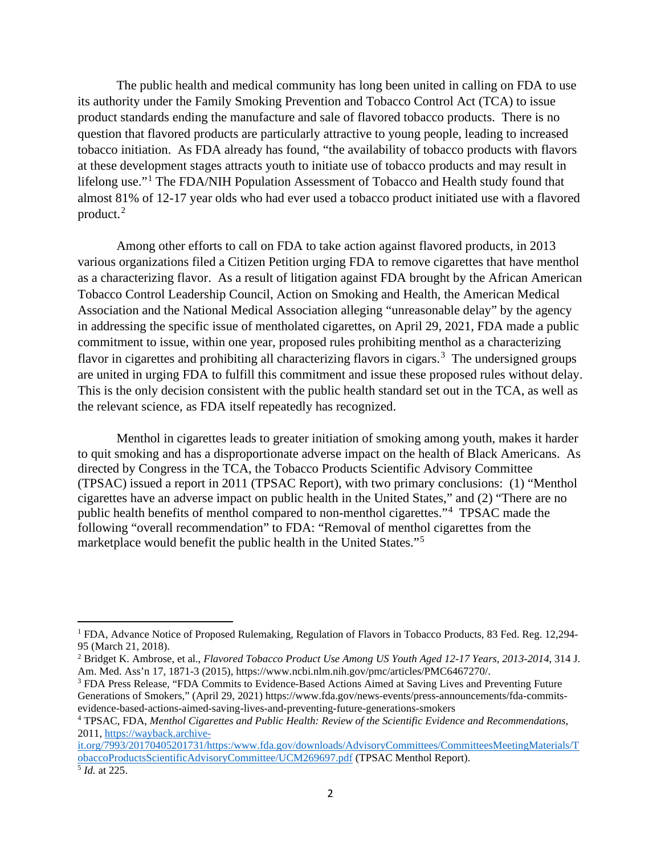The public health and medical community has long been united in calling on FDA to use its authority under the Family Smoking Prevention and Tobacco Control Act (TCA) to issue product standards ending the manufacture and sale of flavored tobacco products. There is no question that flavored products are particularly attractive to young people, leading to increased tobacco initiation. As FDA already has found, "the availability of tobacco products with flavors at these development stages attracts youth to initiate use of tobacco products and may result in lifelong use."[1](#page-1-0) The FDA/NIH Population Assessment of Tobacco and Health study found that almost 81% of 12-17 year olds who had ever used a tobacco product initiated use with a flavored product.<sup>[2](#page-1-1)</sup>

Among other efforts to call on FDA to take action against flavored products, in 2013 various organizations filed a Citizen Petition urging FDA to remove cigarettes that have menthol as a characterizing flavor. As a result of litigation against FDA brought by the African American Tobacco Control Leadership Council, Action on Smoking and Health, the American Medical Association and the National Medical Association alleging "unreasonable delay" by the agency in addressing the specific issue of mentholated cigarettes, on April 29, 2021, FDA made a public commitment to issue, within one year, proposed rules prohibiting menthol as a characterizing flavor in cigarettes and prohibiting all characterizing flavors in cigars.<sup>[3](#page-1-2)</sup> The undersigned groups are united in urging FDA to fulfill this commitment and issue these proposed rules without delay. This is the only decision consistent with the public health standard set out in the TCA, as well as the relevant science, as FDA itself repeatedly has recognized.

Menthol in cigarettes leads to greater initiation of smoking among youth, makes it harder to quit smoking and has a disproportionate adverse impact on the health of Black Americans. As directed by Congress in the TCA, the Tobacco Products Scientific Advisory Committee (TPSAC) issued a report in 2011 (TPSAC Report), with two primary conclusions: (1) "Menthol cigarettes have an adverse impact on public health in the United States," and (2) "There are no public health benefits of menthol compared to non-menthol cigarettes."<sup>[4](#page-1-3)</sup> TPSAC made the following "overall recommendation" to FDA: "Removal of menthol cigarettes from the marketplace would benefit the public health in the United States."[5](#page-1-4)

<span id="page-1-0"></span><sup>1</sup> FDA, Advance Notice of Proposed Rulemaking, Regulation of Flavors in Tobacco Products, 83 Fed. Reg. 12,294- 95 (March 21, 2018).

<span id="page-1-1"></span><sup>2</sup> Bridget K. Ambrose, et al., *Flavored Tobacco Product Use Among US Youth Aged 12-17 Years, 2013-2014*, 314 J. Am. Med. Ass'n 17, 1871-3 (2015), https://www.ncbi.nlm.nih.gov/pmc/articles/PMC6467270/.

<span id="page-1-2"></span><sup>3</sup> FDA Press Release, "FDA Commits to Evidence-Based Actions Aimed at Saving Lives and Preventing Future Generations of Smokers," (April 29, 2021) https://www.fda.gov/news-events/press-announcements/fda-commitsevidence-based-actions-aimed-saving-lives-and-preventing-future-generations-smokers

<span id="page-1-3"></span><sup>4</sup> TPSAC, FDA, *Menthol Cigarettes and Public Health: Review of the Scientific Evidence and Recommendations*, 2011, [https://wayback.archive-](https://wayback.archive-it.org/7993/20170405201731/https:/www.fda.gov/downloads/AdvisoryCommittees/CommitteesMeetingMaterials/TobaccoProductsScientificAdvisoryCommittee/UCM269697.pdf)

<span id="page-1-4"></span>[it.org/7993/20170405201731/https:/www.fda.gov/downloads/AdvisoryCommittees/CommitteesMeetingMaterials/T](https://wayback.archive-it.org/7993/20170405201731/https:/www.fda.gov/downloads/AdvisoryCommittees/CommitteesMeetingMaterials/TobaccoProductsScientificAdvisoryCommittee/UCM269697.pdf) [obaccoProductsScientificAdvisoryCommittee/UCM269697.pdf](https://wayback.archive-it.org/7993/20170405201731/https:/www.fda.gov/downloads/AdvisoryCommittees/CommitteesMeetingMaterials/TobaccoProductsScientificAdvisoryCommittee/UCM269697.pdf) (TPSAC Menthol Report).  $\overline{\frac{5}{1}}$ *Id.* at 225.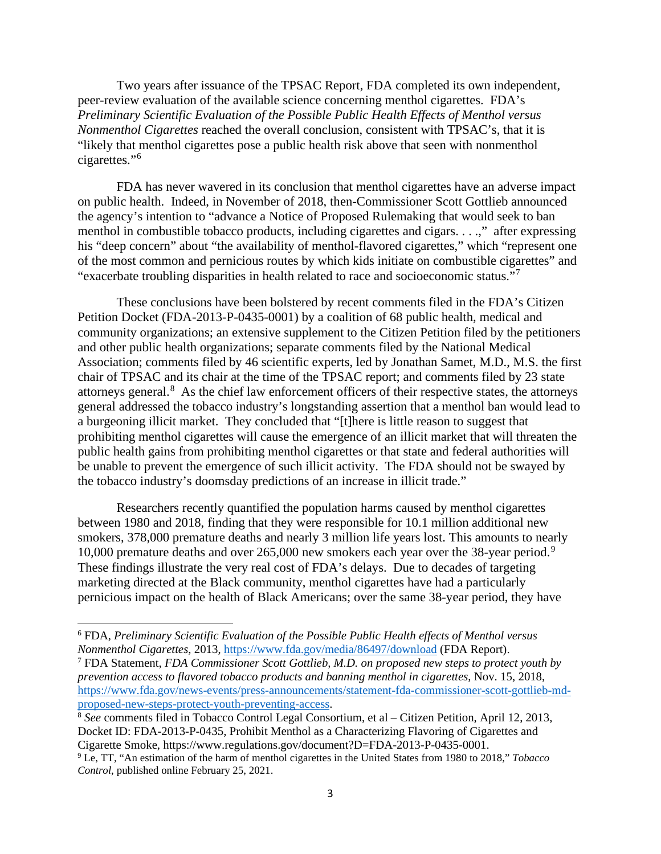Two years after issuance of the TPSAC Report, FDA completed its own independent, peer-review evaluation of the available science concerning menthol cigarettes. FDA's *Preliminary Scientific Evaluation of the Possible Public Health Effects of Menthol versus Nonmenthol Cigarettes* reached the overall conclusion, consistent with TPSAC's, that it is "likely that menthol cigarettes pose a public health risk above that seen with nonmenthol cigarettes."[6](#page-2-0)

FDA has never wavered in its conclusion that menthol cigarettes have an adverse impact on public health. Indeed, in November of 2018, then-Commissioner Scott Gottlieb announced the agency's intention to "advance a Notice of Proposed Rulemaking that would seek to ban menthol in combustible tobacco products, including cigarettes and cigars. . . .," after expressing his "deep concern" about "the availability of menthol-flavored cigarettes," which "represent one of the most common and pernicious routes by which kids initiate on combustible cigarettes" and "exacerbate troubling disparities in health related to race and socioeconomic status."[7](#page-2-1)

These conclusions have been bolstered by recent comments filed in the FDA's Citizen Petition Docket (FDA-2013-P-0435-0001) by a coalition of 68 public health, medical and community organizations; an extensive supplement to the Citizen Petition filed by the petitioners and other public health organizations; separate comments filed by the National Medical Association; comments filed by 46 scientific experts, led by Jonathan Samet, M.D., M.S. the first chair of TPSAC and its chair at the time of the TPSAC report; and comments filed by 23 state attorneys general.<sup>[8](#page-2-2)</sup> As the chief law enforcement officers of their respective states, the attorneys general addressed the tobacco industry's longstanding assertion that a menthol ban would lead to a burgeoning illicit market. They concluded that "[t]here is little reason to suggest that prohibiting menthol cigarettes will cause the emergence of an illicit market that will threaten the public health gains from prohibiting menthol cigarettes or that state and federal authorities will be unable to prevent the emergence of such illicit activity. The FDA should not be swayed by the tobacco industry's doomsday predictions of an increase in illicit trade."

Researchers recently quantified the population harms caused by menthol cigarettes between 1980 and 2018, finding that they were responsible for 10.1 million additional new smokers, 378,000 premature deaths and nearly 3 million life years lost. This amounts to nearly 10,000 premature deaths and over 265,000 new smokers each year over the 38-year period.[9](#page-2-3) These findings illustrate the very real cost of FDA's delays. Due to decades of targeting marketing directed at the Black community, menthol cigarettes have had a particularly pernicious impact on the health of Black Americans; over the same 38-year period, they have

<span id="page-2-0"></span><sup>6</sup> FDA, *Preliminary Scientific Evaluation of the Possible Public Health effects of Menthol versus Nonmenthol Cigarettes*, 2013,<https://www.fda.gov/media/86497/download> (FDA Report).

<span id="page-2-1"></span><sup>7</sup> FDA Statement, *FDA Commissioner Scott Gottlieb, M.D. on proposed new steps to protect youth by prevention access to flavored tobacco products and banning menthol in cigarettes*, Nov. 15, 2018, [https://www.fda.gov/news-events/press-announcements/statement-fda-commissioner-scott-gottlieb-md](https://www.fda.gov/news-events/press-announcements/statement-fda-commissioner-scott-gottlieb-md-proposed-new-steps-protect-youth-preventing-access)[proposed-new-steps-protect-youth-preventing-access.](https://www.fda.gov/news-events/press-announcements/statement-fda-commissioner-scott-gottlieb-md-proposed-new-steps-protect-youth-preventing-access)

<span id="page-2-2"></span><sup>8</sup> *See* comments filed in Tobacco Control Legal Consortium, et al – Citizen Petition, April 12, 2013, Docket ID: FDA-2013-P-0435, Prohibit Menthol as a Characterizing Flavoring of Cigarettes and Cigarette Smoke, https://www.regulations.gov/document?D=FDA-2013-P-0435-0001.

<span id="page-2-3"></span><sup>9</sup> Le, TT, "An estimation of the harm of menthol cigarettes in the United States from 1980 to 2018," *Tobacco Control*, published online February 25, 2021.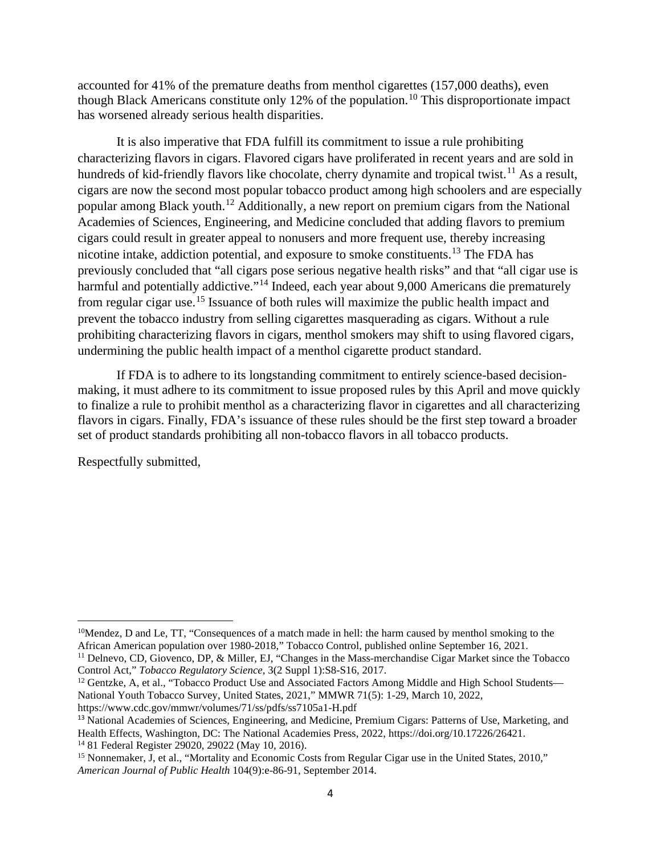accounted for 41% of the premature deaths from menthol cigarettes (157,000 deaths), even though Black Americans constitute only 12% of the population.<sup>[10](#page-3-0)</sup> This disproportionate impact has worsened already serious health disparities.

It is also imperative that FDA fulfill its commitment to issue a rule prohibiting characterizing flavors in cigars. Flavored cigars have proliferated in recent years and are sold in hundreds of kid-friendly flavors like chocolate, cherry dynamite and tropical twist.<sup>[11](#page-3-1)</sup> As a result, cigars are now the second most popular tobacco product among high schoolers and are especially popular among Black youth.[12](#page-3-2) Additionally, a new report on premium cigars from the National Academies of Sciences, Engineering, and Medicine concluded that adding flavors to premium cigars could result in greater appeal to nonusers and more frequent use, thereby increasing nicotine intake, addiction potential, and exposure to smoke constituents.[13](#page-3-3) The FDA has previously concluded that "all cigars pose serious negative health risks" and that "all cigar use is harmful and potentially addictive."<sup>[14](#page-3-4)</sup> Indeed, each year about 9,000 Americans die prematurely from regular cigar use.[15](#page-3-5) Issuance of both rules will maximize the public health impact and prevent the tobacco industry from selling cigarettes masquerading as cigars. Without a rule prohibiting characterizing flavors in cigars, menthol smokers may shift to using flavored cigars, undermining the public health impact of a menthol cigarette product standard.

If FDA is to adhere to its longstanding commitment to entirely science-based decisionmaking, it must adhere to its commitment to issue proposed rules by this April and move quickly to finalize a rule to prohibit menthol as a characterizing flavor in cigarettes and all characterizing flavors in cigars. Finally, FDA's issuance of these rules should be the first step toward a broader set of product standards prohibiting all non-tobacco flavors in all tobacco products.

Respectfully submitted,

<span id="page-3-0"></span><sup>10</sup>Mendez, D and Le, TT, "Consequences of a match made in hell: the harm caused by menthol smoking to the African American population over 1980-2018," Tobacco Control, published online September 16, 2021.

<span id="page-3-1"></span><sup>11</sup> Delnevo, CD, Giovenco, DP, & Miller, EJ, "Changes in the Mass-merchandise Cigar Market since the Tobacco Control Act," *Tobacco Regulatory Science*, 3(2 Suppl 1):S8-S16, 2017.

<span id="page-3-2"></span><sup>&</sup>lt;sup>12</sup> Gentzke, A, et al., "Tobacco Product Use and Associated Factors Among Middle and High School Students— National Youth Tobacco Survey, United States, 2021," MMWR 71(5): 1-29, March 10, 2022, https://www.cdc.gov/mmwr/volumes/71/ss/pdfs/ss7105a1-H.pdf

<span id="page-3-3"></span><sup>&</sup>lt;sup>13</sup> National Academies of Sciences, Engineering, and Medicine, Premium Cigars: Patterns of Use, Marketing, and

Health Effects, Washington, DC: The National Academies Press, 2022, [https://doi.org/10.17226/26421.](https://doi.org/10.17226/26421) <sup>14</sup> 81 Federal Register 29020, 29022 (May 10, 2016).

<span id="page-3-5"></span><span id="page-3-4"></span><sup>&</sup>lt;sup>15</sup> Nonnemaker, J, et al., "Mortality and Economic Costs from Regular Cigar use in the United States, 2010," *American Journal of Public Health* 104(9):e-86-91, September 2014.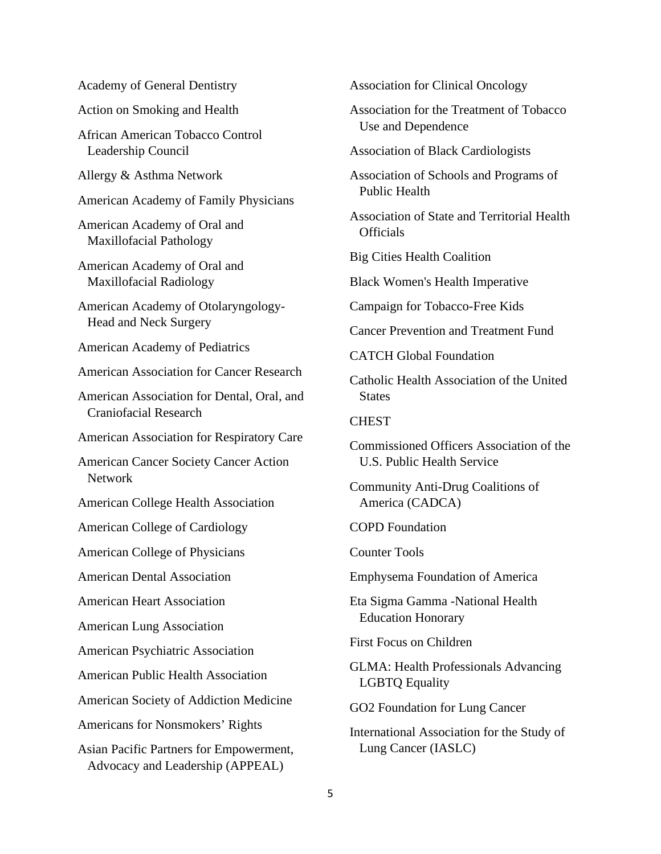| <b>Academy of General Dentistry</b> |  |  |
|-------------------------------------|--|--|
|-------------------------------------|--|--|

Action on Smoking and Health

African American Tobacco Control Leadership Council

Allergy & Asthma Network

American Academy of Family Physicians

American Academy of Oral and Maxillofacial Pathology

American Academy of Oral and Maxillofacial Radiology

American Academy of Otolaryngology-Head and Neck Surgery

American Academy of Pediatrics

American Association for Cancer Research

American Association for Dental, Oral, and Craniofacial Research

American Association for Respiratory Care

American Cancer Society Cancer Action Network

American College Health Association

American College of Cardiology

American College of Physicians

American Dental Association

American Heart Association

American Lung Association

American Psychiatric Association

American Public Health Association

American Society of Addiction Medicine

Americans for Nonsmokers' Rights

Asian Pacific Partners for Empowerment, Advocacy and Leadership (APPEAL)

Association for Clinical Oncology

Association for the Treatment of Tobacco Use and Dependence

Association of Black Cardiologists

Association of Schools and Programs of Public Health

Association of State and Territorial Health **Officials** 

Big Cities Health Coalition

Black Women's Health Imperative

Campaign for Tobacco-Free Kids

Cancer Prevention and Treatment Fund

CATCH Global Foundation

Catholic Health Association of the United **States** 

**CHEST** 

Commissioned Officers Association of the U.S. Public Health Service

Community Anti-Drug Coalitions of America (CADCA)

COPD Foundation

Counter Tools

Emphysema Foundation of America

Eta Sigma Gamma -National Health Education Honorary

First Focus on Children

GLMA: Health Professionals Advancing LGBTQ Equality

GO2 Foundation for Lung Cancer

International Association for the Study of Lung Cancer (IASLC)